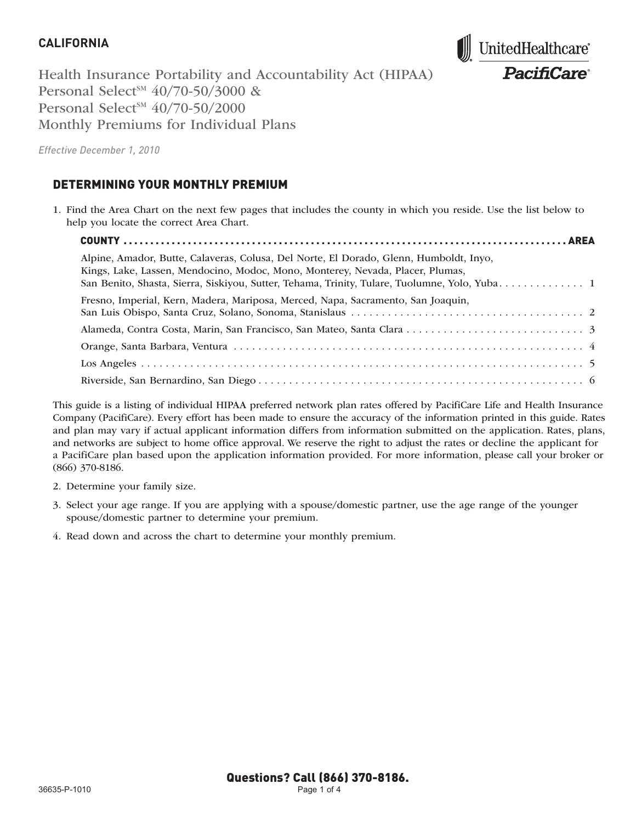

Health Insurance Portability and Accountability Act (HIPAA) Personal Select<sup>SM</sup>  $40/70-50/3000$  & Personal Select<sup>SM</sup>  $40/70-50/2000$ Monthly Premiums for Individual Plans

*Effective December 1, 2010*

#### DETERMINING YOUR MONTHLY PREMIUM

1. Find the Area Chart on the next few pages that includes the county in which you reside. Use the list below to help you locate the correct Area Chart.

| Alpine, Amador, Butte, Calaveras, Colusa, Del Norte, El Dorado, Glenn, Humboldt, Inyo,<br>Kings, Lake, Lassen, Mendocino, Modoc, Mono, Monterey, Nevada, Placer, Plumas, |  |
|--------------------------------------------------------------------------------------------------------------------------------------------------------------------------|--|
| Fresno, Imperial, Kern, Madera, Mariposa, Merced, Napa, Sacramento, San Joaquin,                                                                                         |  |
|                                                                                                                                                                          |  |
|                                                                                                                                                                          |  |
|                                                                                                                                                                          |  |
|                                                                                                                                                                          |  |

This guide is a listing of individual HIPAA preferred network plan rates offered by PacifiCare Life and Health Insurance Company (PacifiCare). Every effort has been made to ensure the accuracy of the information printed in this guide. Rates and plan may vary if actual applicant information differs from information submitted on the application. Rates, plans, and networks are subject to home office approval. We reserve the right to adjust the rates or decline the applicant for a PacifiCare plan based upon the application information provided. For more information, please call your broker or (866) 370-8186.

- 2. Determine your family size.
- 3. Select your age range. If you are applying with a spouse/domestic partner, use the age range of the younger spouse/domestic partner to determine your premium.
- 4. Read down and across the chart to determine your monthly premium.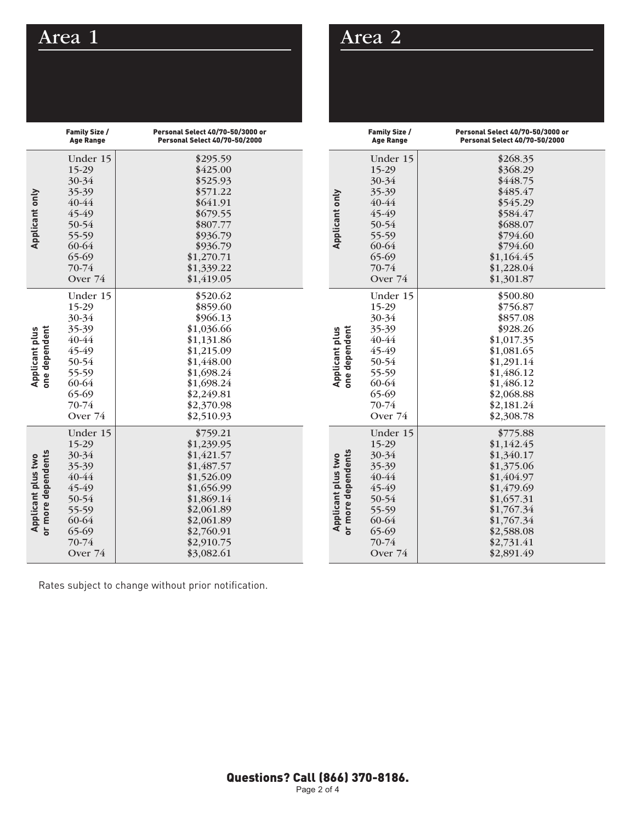## Area 1

|                                          | Family Size /<br><b>Age Range</b>                                                                             | <b>Personal Select 40/70-50/3000 or</b><br><b>Personal Select 40/70-50/2000</b>                                                                                    |
|------------------------------------------|---------------------------------------------------------------------------------------------------------------|--------------------------------------------------------------------------------------------------------------------------------------------------------------------|
| Applicant only                           | Under 15<br>15-29<br>30-34<br>35-39<br>40-44<br>45-49<br>50-54<br>55-59<br>60-64<br>65-69<br>70-74<br>Over 74 | \$295.59<br>\$425.00<br>\$525.93<br>\$571.22<br>\$641.91<br>\$679.55<br>\$807.77<br>\$936.79<br>\$936.79<br>\$1,270.71<br>\$1,339.22<br>\$1,419.05                 |
| one dependent<br><b>Applicant plus</b>   | Under 15<br>15-29<br>30-34<br>35-39<br>40-44<br>45-49<br>50-54<br>55-59<br>60-64<br>65-69<br>70-74<br>Over 74 | \$520.62<br>\$859.60<br>\$966.13<br>\$1,036.66<br>\$1,131.86<br>\$1,215.09<br>\$1,448.00<br>\$1,698.24<br>\$1,698.24<br>\$2,249.81<br>\$2,370.98<br>\$2,510.93     |
| or more dependents<br>Applicant plus two | Under 15<br>15-29<br>30-34<br>35-39<br>40-44<br>45-49<br>50-54<br>55-59<br>60-64<br>65-69<br>70-74<br>Over 74 | \$759.21<br>\$1,239.95<br>\$1,421.57<br>\$1,487.57<br>\$1,526.09<br>\$1,656.99<br>\$1,869.14<br>\$2,061.89<br>\$2,061.89<br>\$2,760.91<br>\$2,910.75<br>\$3,082.61 |

|                                          | Family Size /<br><b>Age Range</b>                                                                                 | Personal Select 40/70-50/3000 or<br><b>Personal Select 40/70-50/2000</b>                                                                                           |
|------------------------------------------|-------------------------------------------------------------------------------------------------------------------|--------------------------------------------------------------------------------------------------------------------------------------------------------------------|
| Applicant only                           | Under 15<br>15-29<br>30-34<br>35-39<br>$40 - 44$<br>45-49<br>50-54<br>55-59<br>60-64<br>65-69<br>70-74<br>Over 74 | \$268.35<br>\$368.29<br>\$448.75<br>\$485.47<br>\$545.29<br>\$584.47<br>\$688.07<br>\$794.60<br>\$794.60<br>\$1,164.45<br>\$1,228.04<br>\$1,301.87                 |
| Applicant plus<br>one dependent          | Under 15<br>15-29<br>30-34<br>35-39<br>40-44<br>45-49<br>50-54<br>55-59<br>60-64<br>65-69<br>70-74<br>Over 74     | \$500.80<br>\$756.87<br>\$857.08<br>\$928.26<br>\$1,017.35<br>\$1,081.65<br>\$1,291.14<br>\$1,486.12<br>\$1,486.12<br>\$2,068.88<br>\$2,181.24<br>\$2,308.78       |
| or more dependents<br>Applicant plus two | Under 15<br>15-29<br>30-34<br>35-39<br>40-44<br>45-49<br>50-54<br>55-59<br>60-64<br>65-69<br>70-74<br>Over 74     | \$775.88<br>\$1,142.45<br>\$1,340.17<br>\$1,375.06<br>\$1,404.97<br>\$1,479.69<br>\$1,657.31<br>\$1,767.34<br>\$1,767.34<br>\$2,588.08<br>\$2,731.41<br>\$2,891.49 |

Area 2

Rates subject to change without prior notification.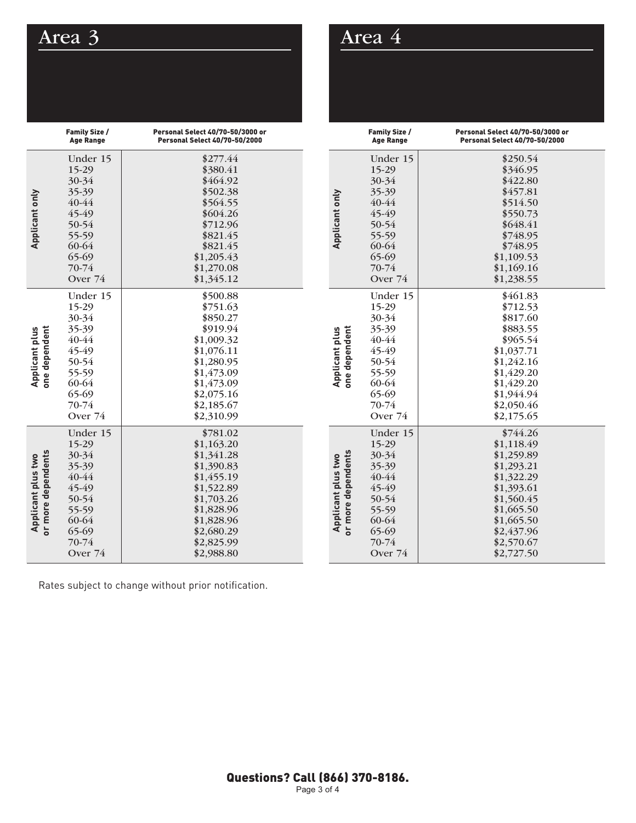# Area 3

|                                          | <b>Family Size /</b><br><b>Age Range</b>                                                                      | Personal Select 40/70-50/3000 or<br>Personal Select 40/70-50/2000                                                                                                  |
|------------------------------------------|---------------------------------------------------------------------------------------------------------------|--------------------------------------------------------------------------------------------------------------------------------------------------------------------|
| Applicant only                           | Under 15<br>15-29<br>30-34<br>35-39<br>40-44<br>45-49<br>50-54<br>55-59<br>60-64<br>65-69<br>70-74<br>Over 74 | \$277.44<br>\$380.41<br>\$464.92<br>\$502.38<br>\$564.55<br>\$604.26<br>\$712.96<br>\$821.45<br>\$821.45<br>\$1,205.43<br>\$1,270.08<br>\$1,345.12                 |
| one dependent<br>Applicant plus          | Under 15<br>15-29<br>30-34<br>35-39<br>40-44<br>45-49<br>50-54<br>55-59<br>60-64<br>65-69<br>70-74<br>Over 74 | \$500.88<br>\$751.63<br>\$850.27<br>\$919.94<br>\$1,009.32<br>\$1,076.11<br>\$1,280.95<br>\$1,473.09<br>\$1,473.09<br>\$2,075.16<br>\$2,185.67<br>\$2,310.99       |
| or more dependents<br>Applicant plus two | Under 15<br>15-29<br>30-34<br>35-39<br>40-44<br>45-49<br>50-54<br>55-59<br>60-64<br>65-69<br>70-74<br>Over 74 | \$781.02<br>\$1,163.20<br>\$1,341.28<br>\$1,390.83<br>\$1,455.19<br>\$1,522.89<br>\$1,703.26<br>\$1,828.96<br>\$1,828.96<br>\$2,680.29<br>\$2,825.99<br>\$2,988.80 |

## Area 4

|                                          | Family Size /<br>Age Range                                                                                               | Personal Select 40/70-50/3000 or<br><b>Personal Select 40/70-50/2000</b>                                                                                           |
|------------------------------------------|--------------------------------------------------------------------------------------------------------------------------|--------------------------------------------------------------------------------------------------------------------------------------------------------------------|
| Applicant only                           | Under 15<br>15-29<br>30-34<br>35-39<br>40-44<br>45-49<br>50-54<br>55-59<br>60-64<br>65-69<br>70-74<br>Over 74            | \$250.54<br>\$346.95<br>\$422.80<br>\$457.81<br>\$514.50<br>\$550.73<br>\$648.41<br>\$748.95<br>\$748.95<br>\$1,109.53<br>\$1,169.16<br>\$1,238.55                 |
| one dependent<br><b>Applicant plus</b>   | Under 15<br>15-29<br>30-34<br>35-39<br>40-44<br>45-49<br>50-54<br>55-59<br>60-64<br>65-69<br>70-74<br>Over 74            | \$461.83<br>\$712.53<br>\$817.60<br>\$883.55<br>\$965.54<br>\$1,037.71<br>\$1,242.16<br>\$1,429.20<br>\$1,429.20<br>\$1,944.94<br>\$2,050.46<br>\$2,175.65         |
| or more dependents<br>Applicant plus two | Under 15<br>15-29<br>30-34<br>35-39<br>40-44<br>45-49<br>50-54<br>55-59<br>60-64<br>65-69<br>70-74<br>Over <sub>74</sub> | \$744.26<br>\$1,118.49<br>\$1,259.89<br>\$1,293.21<br>\$1,322.29<br>\$1,393.61<br>\$1,560.45<br>\$1,665.50<br>\$1,665.50<br>\$2,437.96<br>\$2,570.67<br>\$2,727.50 |

Rates subject to change without prior notification.